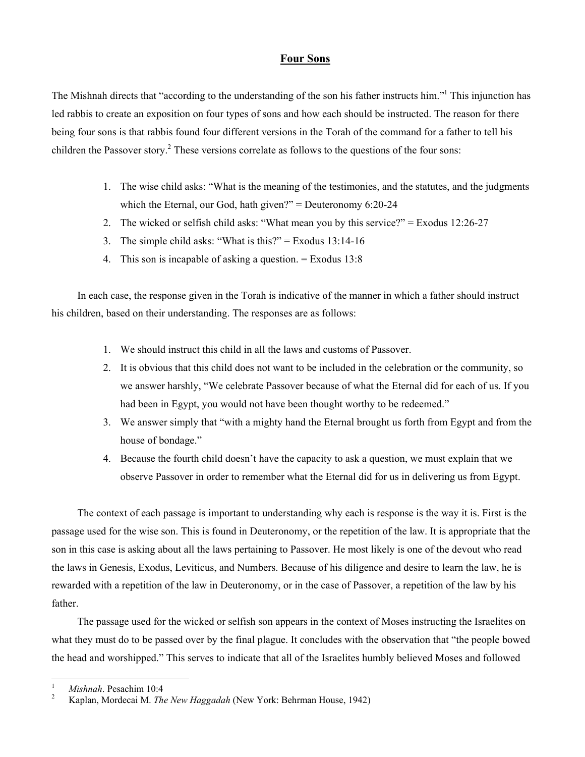## **Four Sons**

The Mishnah directs that "according to the understanding of the son his father instructs him."<sup>1</sup> This injunction has led rabbis to create an exposition on four types of sons and how each should be instructed. The reason for there being four sons is that rabbis found four different versions in the Torah of the command for a father to tell his children the Passover story.<sup>[2](#page-0-1)</sup> These versions correlate as follows to the questions of the four sons:

- 1. The wise child asks: "What is the meaning of the testimonies, and the statutes, and the judgments which the Eternal, our God, hath given?" = Deuteronomy 6:20-24
- 2. The wicked or selfish child asks: "What mean you by this service?" = Exodus 12:26-27
- 3. The simple child asks: "What is this?" = Exodus  $13:14-16$
- 4. This son is incapable of asking a question. = Exodus 13:8

In each case, the response given in the Torah is indicative of the manner in which a father should instruct his children, based on their understanding. The responses are as follows:

- 1. We should instruct this child in all the laws and customs of Passover.
- 2. It is obvious that this child does not want to be included in the celebration or the community, so we answer harshly, "We celebrate Passover because of what the Eternal did for each of us. If you had been in Egypt, you would not have been thought worthy to be redeemed."
- 3. We answer simply that "with a mighty hand the Eternal brought us forth from Egypt and from the house of bondage."
- 4. Because the fourth child doesn't have the capacity to ask a question, we must explain that we observe Passover in order to remember what the Eternal did for us in delivering us from Egypt.

The context of each passage is important to understanding why each is response is the way it is. First is the passage used for the wise son. This is found in Deuteronomy, or the repetition of the law. It is appropriate that the son in this case is asking about all the laws pertaining to Passover. He most likely is one of the devout who read the laws in Genesis, Exodus, Leviticus, and Numbers. Because of his diligence and desire to learn the law, he is rewarded with a repetition of the law in Deuteronomy, or in the case of Passover, a repetition of the law by his father.

The passage used for the wicked or selfish son appears in the context of Moses instructing the Israelites on what they must do to be passed over by the final plague. It concludes with the observation that "the people bowed the head and worshipped." This serves to indicate that all of the Israelites humbly believed Moses and followed

 $\overline{a}$ 

<span id="page-0-0"></span><sup>1</sup> <sup>1</sup> *Mishnah*. Pesachim 10:4

<span id="page-0-1"></span>Kaplan, Mordecai M. *The New Haggadah* (New York: Behrman House, 1942)